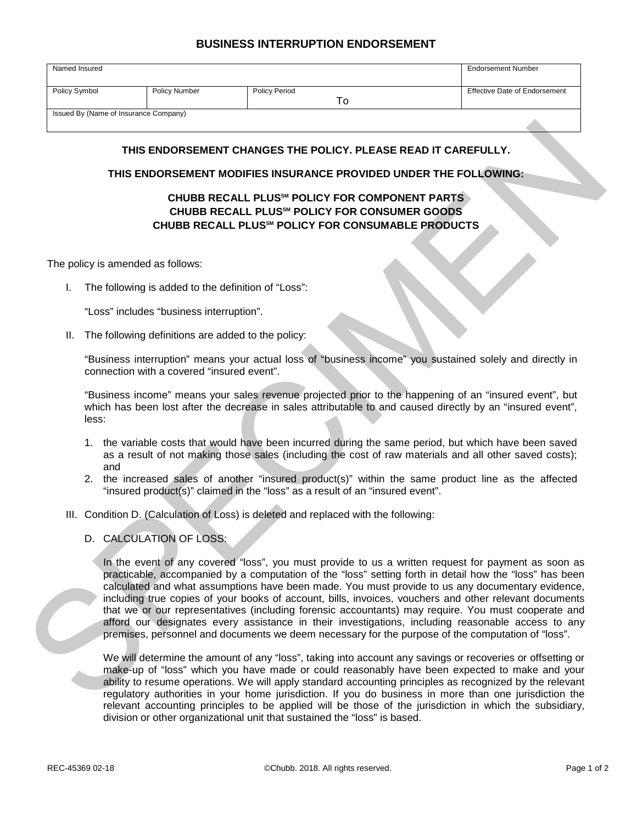## **BUSINESS INTERRUPTION ENDORSEMENT**

| Named Insured                         |                      |                      | <b>Endorsement Number</b>            |
|---------------------------------------|----------------------|----------------------|--------------------------------------|
|                                       |                      |                      |                                      |
| Policy Symbol                         | <b>Policy Number</b> | <b>Policy Period</b> | <b>Effective Date of Endorsement</b> |
|                                       |                      |                      |                                      |
| Issued By (Name of Insurance Company) |                      |                      |                                      |

## **THIS ENDORSEMENT CHANGES THE POLICY. PLEASE READ IT CAREFULLY.**

## **THIS ENDORSEMENT MODIFIES INSURANCE PROVIDED UNDER THE FOLLOWING:**

## **CHUBB RECALL PLUSSM POLICY FOR COMPONENT PARTS CHUBB RECALL PLUSSM POLICY FOR CONSUMER GOODS CHUBB RECALL PLUSSM POLICY FOR CONSUMABLE PRODUCTS**

The policy is amended as follows:

I. The following is added to the definition of "Loss":

"Loss" includes "business interruption".

II. The following definitions are added to the policy:

"Business interruption" means your actual loss of "business income" you sustained solely and directly in connection with a covered "insured event".

"Business income" means your sales revenue projected prior to the happening of an "insured event", but which has been lost after the decrease in sales attributable to and caused directly by an "insured event", less:

- 1. the variable costs that would have been incurred during the same period, but which have been saved as a result of not making those sales (including the cost of raw materials and all other saved costs); and
- 2. the increased sales of another "insured product(s)" within the same product line as the affected "insured product(s)" claimed in the "loss" as a result of an "insured event".
- III. Condition D. (Calculation of Loss) is deleted and replaced with the following:
	- D. CALCULATION OF LOSS:

THIS ENDORSEMENT CHANGES THE POLICY. PLEASE READ IT CAREFULLY.<br>
THIS ENDORSEMENT MODIFIES INSURANCE PROVIDED UNDER THE FOLLOWING:<br>
CHUBB RECALL PLUS" POLICY FOR COMPONENT PARTS<br>
CHUBB RECALL PLUS" POLICY FOR CONSUMABLE PRO In the event of any covered "loss", you must provide to us a written request for payment as soon as practicable, accompanied by a computation of the "loss" setting forth in detail how the "loss" has been calculated and what assumptions have been made. You must provide to us any documentary evidence, including true copies of your books of account, bills, invoices, vouchers and other relevant documents that we or our representatives (including forensic accountants) may require. You must cooperate and afford our designates every assistance in their investigations, including reasonable access to any premises, personnel and documents we deem necessary for the purpose of the computation of "loss".

We will determine the amount of any "loss", taking into account any savings or recoveries or offsetting or make-up of "loss" which you have made or could reasonably have been expected to make and your ability to resume operations. We will apply standard accounting principles as recognized by the relevant regulatory authorities in your home jurisdiction. If you do business in more than one jurisdiction the relevant accounting principles to be applied will be those of the jurisdiction in which the subsidiary, division or other organizational unit that sustained the "loss" is based.